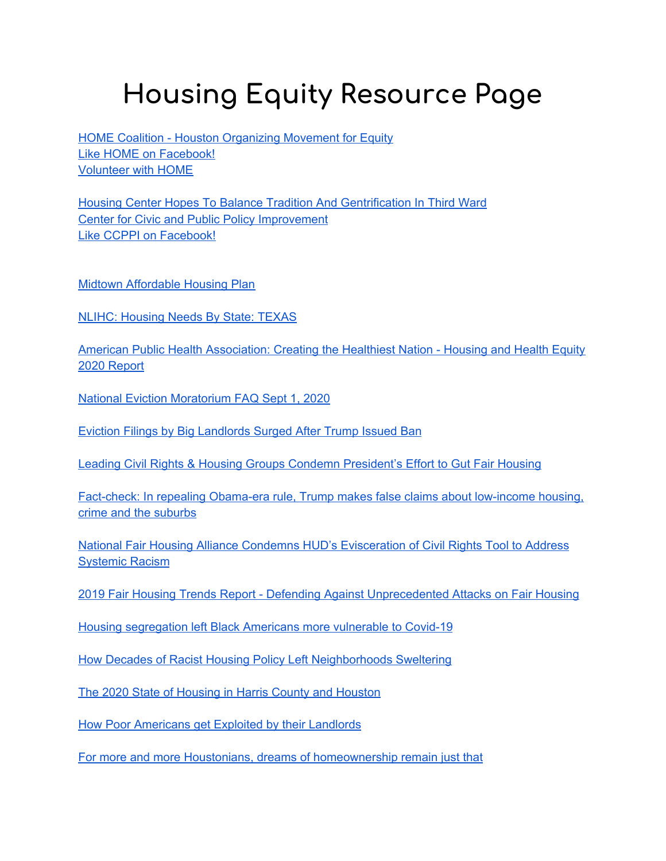## **Housing Equity Resource Page**

**HOME Coalition - Houston [Organizing](https://www.thehomecoalition.org/) Movement for Equity** Like HOME on [Facebook!](https://www.facebook.com/HOMEcoalition) [Volunteer](https://www.thehomecoalition.org/) with HOME

Housing Center Hopes To Balance Tradition And [Gentrification](https://www.houstonpublicmedia.org/articles/news/2019/01/17/318457/housing-center-hoped-to-balance-tradition-and-gentrification-in-third-ward/) In Third Ward Center for Civic and Public Policy [Improvement](https://ccppi.org/site/) Like CCPPI on [Facebook!](https://www.facebook.com/CCPPIHTX)

Midtown [Affordable](https://midtownhouston.com/wp-content/uploads/2018/07/Midtown-Affordable-Housing-Plan-_-Final_7.7.18.pdf?fbclid=IwAR1awX0Lc7yghPVi41QAmOp0xHWhaoMOCjb1WgP98eJ2b2qC1KHjc5x_fHg) Housing Plan

**NLIHC: [Housing](https://nlihc.org/housing-needs-by-state/texas) Needs By State: TEXAS** 

American Public Health [Association:](https://www.apha.org/-/media/files/pdf/topics/equity/health_and_housing_equity.ashx?la=en&hash=FEDA5CD7041C72CBA783AB614E5EC20CAA040DCA) Creating the Healthiest Nation - Housing and Health Equity 2020 [Report](https://www.apha.org/-/media/files/pdf/topics/equity/health_and_housing_equity.ashx?la=en&hash=FEDA5CD7041C72CBA783AB614E5EC20CAA040DCA)

National Eviction [Moratorium](https://nlihc.org/sites/default/files/National-Eviction-Moratorium_FAQ-for-Renters.pdf?utm_source=NLIHC+All+Subscribers&utm_campaign=01127abfb9-cta_090420&utm_medium=email&utm_term=0_e090383b5e-01127abfb9-293262765&ct=t(cta_090420)) FAQ Sept 1, 2020

Eviction Filings by Big [Landlords](https://www.bloomberg.com/news/articles/2020-09-14/eviction-filings-by-big-landlords-surged-after-trump-issued-ban?utm_source=NLIHC+All+Subscribers&utm_campaign=ff1724bb71-CTA_091520&utm_medium=email&utm_term=0_e090383b5e-ff1724bb71-293262765&ct=t(CTA_091520)) Surged After Trump Issued Ban

Leading Civil Rights & Housing Groups Condemn [President's](https://nlihc.org/news/leading-civil-rights-housing-groups-condemn-presidents-effort-gut-fair-housing-use-incendiary) Effort to Gut Fair Housing

[Fact-check:](https://www.cnn.com/2020/08/03/politics/fact-check-trump-low-income-housing-suburbs-crime/index.html?fbclid=IwAR1awX0Lc7yghPVi41QAmOp0xHWhaoMOCjb1WgP98eJ2b2qC1KHjc5x_fHg) In repealing Obama-era rule, Trump makes false claims about low-income housing, crime and the [suburbs](https://www.cnn.com/2020/08/03/politics/fact-check-trump-low-income-housing-suburbs-crime/index.html?fbclid=IwAR1awX0Lc7yghPVi41QAmOp0xHWhaoMOCjb1WgP98eJ2b2qC1KHjc5x_fHg)

National Fair Housing Alliance Condemns HUD's [Evisceration](https://nationalfairhousing.org/2020/09/04/national-fair-housing-alliance-condemns-huds-evisceration-of-civil-rights-tool-to-address-systemic-racism/?fbclid=IwAR2vacJSFVstJI_aLOiPvzV1DljJtW4EAQztOcnxSZQOEq7x8gkbP_3Yad8) of Civil Rights Tool to Address [Systemic](https://nationalfairhousing.org/2020/09/04/national-fair-housing-alliance-condemns-huds-evisceration-of-civil-rights-tool-to-address-systemic-racism/?fbclid=IwAR2vacJSFVstJI_aLOiPvzV1DljJtW4EAQztOcnxSZQOEq7x8gkbP_3Yad8) Racism

2019 Fair Housing Trends Report - Defending Against [Unprecedented](https://nationalfairhousing.org/wp-content/uploads/2019/10/2019-Trends-Report.pdf) Attacks on Fair Housing

Housing [segregation](https://www.vox.com/2020/7/10/21319873/covid-19-coronavirus-cases-deaths-black-americans-housing-segregation) left Black Americans more vulnerable to Covid-19

How Decades of Racist Housing Policy Left [Neighborhoods](https://www.nytimes.com/interactive/2020/08/24/climate/racism-redlining-cities-global-warming.html?campaign_id=9&emc=edit_nn_20200824&instance_id=21556&nl=the-morning®i_id=89952271§ion_index=2§ion_name=three_more_big_stories&segment_id=36808&te=1&user_id=c722d535c54f216d3033ec096c81ca41&fbclid=IwAR1awX0Lc7yghPVi41QAmOp0xHWhaoMOCjb1WgP98eJ2b2qC1KHjc5x_fHg) Sweltering

The 2020 State of Housing in Harris County and [Houston](https://kinder.rice.edu/research/2020-state-housing-harris-county-and-houston)

How Poor [Americans](https://www.bloomberg.com/news/articles/2019-03-21/housing-exploitation-is-rife-in-poor-neighborhoods) get Exploited by their Landlords

For more and more Houstonians, dreams of [homeownership](https://kinder.rice.edu/urbanedge/2020/09/10/affordable-housing-crisis-houston-homeownership-rates-declining) remain just that